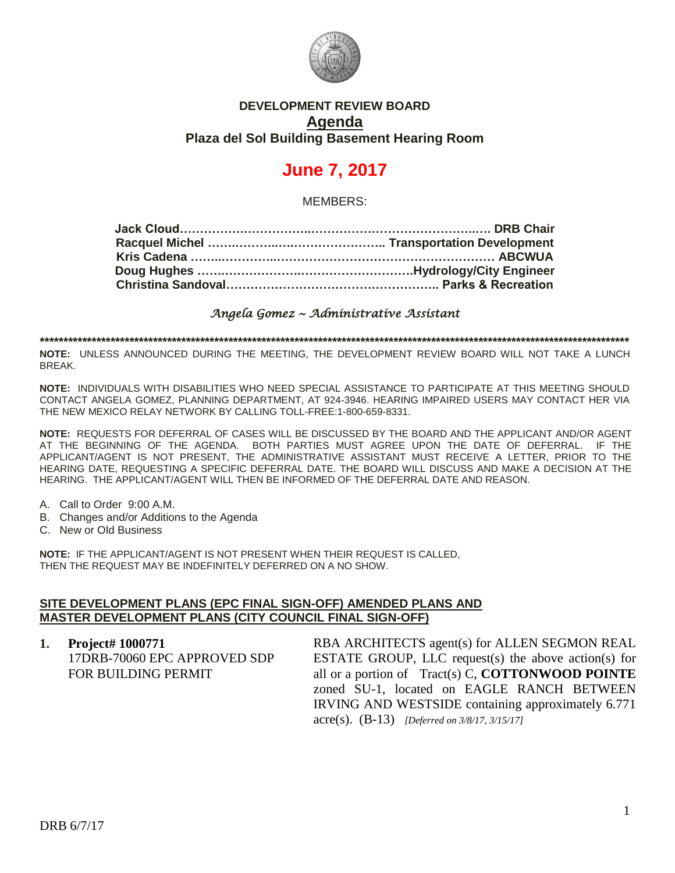

# **DEVELOPMENT REVIEW BOARD Agenda Plaza del Sol Building Basement Hearing Room**

# **June 7, 2017**

MEMBERS:

*Angela Gomez ~ Administrative Assistant* 

**\*\*\*\*\*\*\*\*\*\*\*\*\*\*\*\*\*\*\*\*\*\*\*\*\*\*\*\*\*\*\*\*\*\*\*\*\*\*\*\*\*\*\*\*\*\*\*\*\*\*\*\*\*\*\*\*\*\*\*\*\*\*\*\*\*\*\*\*\*\*\*\*\*\*\*\*\*\*\*\*\*\*\*\*\*\*\*\*\*\*\*\*\*\*\*\*\*\*\*\*\*\*\*\*\*\*\*\*\*\*\*\*\*\*\*\*\*\*\*\*\*\*\*\*\***

**NOTE:** UNLESS ANNOUNCED DURING THE MEETING, THE DEVELOPMENT REVIEW BOARD WILL NOT TAKE A LUNCH BREAK.

**NOTE:** INDIVIDUALS WITH DISABILITIES WHO NEED SPECIAL ASSISTANCE TO PARTICIPATE AT THIS MEETING SHOULD CONTACT ANGELA GOMEZ, PLANNING DEPARTMENT, AT 924-3946. HEARING IMPAIRED USERS MAY CONTACT HER VIA THE NEW MEXICO RELAY NETWORK BY CALLING TOLL-FREE:1-800-659-8331.

**NOTE:** REQUESTS FOR DEFERRAL OF CASES WILL BE DISCUSSED BY THE BOARD AND THE APPLICANT AND/OR AGENT AT THE BEGINNING OF THE AGENDA. BOTH PARTIES MUST AGREE UPON THE DATE OF DEFERRAL. IF THE APPLICANT/AGENT IS NOT PRESENT, THE ADMINISTRATIVE ASSISTANT MUST RECEIVE A LETTER, PRIOR TO THE HEARING DATE, REQUESTING A SPECIFIC DEFERRAL DATE. THE BOARD WILL DISCUSS AND MAKE A DECISION AT THE HEARING. THE APPLICANT/AGENT WILL THEN BE INFORMED OF THE DEFERRAL DATE AND REASON.

- A. Call to Order 9:00 A.M.
- B. Changes and/or Additions to the Agenda
- C. New or Old Business

**NOTE:** IF THE APPLICANT/AGENT IS NOT PRESENT WHEN THEIR REQUEST IS CALLED, THEN THE REQUEST MAY BE INDEFINITELY DEFERRED ON A NO SHOW.

### **SITE DEVELOPMENT PLANS (EPC FINAL SIGN-OFF) AMENDED PLANS AND MASTER DEVELOPMENT PLANS (CITY COUNCIL FINAL SIGN-OFF)**

**1. Project# 1000771** 17DRB-70060 EPC APPROVED SDP FOR BUILDING PERMIT RBA ARCHITECTS agent(s) for ALLEN SEGMON REAL ESTATE GROUP, LLC request(s) the above action(s) for all or a portion of Tract(s) C, **COTTONWOOD POINTE** zoned SU-1, located on EAGLE RANCH BETWEEN IRVING AND WESTSIDE containing approximately 6.771 acre(s). (B-13) *[Deferred on 3/8/17, 3/15/17]*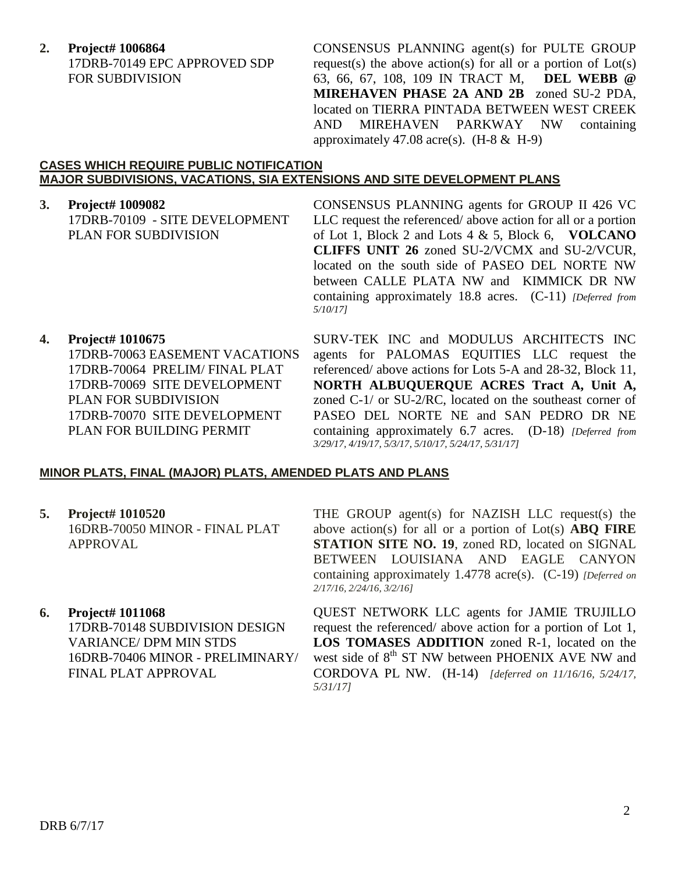**2. Project# 1006864** 17DRB-70149 EPC APPROVED SDP FOR SUBDIVISION

CONSENSUS PLANNING agent(s) for PULTE GROUP request(s) the above action(s) for all or a portion of  $Lot(s)$ 63, 66, 67, 108, 109 IN TRACT M, **DEL WEBB @ MIREHAVEN PHASE 2A AND 2B** zoned SU-2 PDA, located on TIERRA PINTADA BETWEEN WEST CREEK AND MIREHAVEN PARKWAY NW containing approximately 47.08 acre(s).  $(H-8 \& H-9)$ 

### **CASES WHICH REQUIRE PUBLIC NOTIFICATION MAJOR SUBDIVISIONS, VACATIONS, SIA EXTENSIONS AND SITE DEVELOPMENT PLANS**

## **3. Project# 1009082**

17DRB-70109 - SITE DEVELOPMENT PLAN FOR SUBDIVISION

CONSENSUS PLANNING agents for GROUP II 426 VC LLC request the referenced/ above action for all or a portion of Lot 1, Block 2 and Lots 4 & 5, Block 6, **VOLCANO CLIFFS UNIT 26** zoned SU-2/VCMX and SU-2/VCUR, located on the south side of PASEO DEL NORTE NW between CALLE PLATA NW and KIMMICK DR NW containing approximately 18.8 acres. (C-11) *[Deferred from 5/10/17]*

## **4. Project# 1010675**

17DRB-70063 EASEMENT VACATIONS 17DRB-70064 PRELIM/ FINAL PLAT 17DRB-70069 SITE DEVELOPMENT PLAN FOR SUBDIVISION 17DRB-70070 SITE DEVELOPMENT PLAN FOR BUILDING PERMIT

SURV-TEK INC and MODULUS ARCHITECTS INC agents for PALOMAS EQUITIES LLC request the referenced/ above actions for Lots 5-A and 28-32, Block 11, **NORTH ALBUQUERQUE ACRES Tract A, Unit A,** zoned C-1/ or SU-2/RC, located on the southeast corner of PASEO DEL NORTE NE and SAN PEDRO DR NE containing approximately 6.7 acres. (D-18) *[Deferred from 3/29/17, 4/19/17, 5/3/17, 5/10/17, 5/24/17, 5/31/17]*

## **MINOR PLATS, FINAL (MAJOR) PLATS, AMENDED PLATS AND PLANS**

**5. Project# 1010520** 16DRB-70050 MINOR - FINAL PLAT APPROVAL

# **6. Project# 1011068**

17DRB-70148 SUBDIVISION DESIGN VARIANCE/ DPM MIN STDS 16DRB-70406 MINOR - PRELIMINARY/ FINAL PLAT APPROVAL

THE GROUP agent(s) for NAZISH LLC request(s) the above action(s) for all or a portion of Lot(s) **ABQ FIRE STATION SITE NO. 19**, zoned RD, located on SIGNAL BETWEEN LOUISIANA AND EAGLE CANYON containing approximately 1.4778 acre(s). (C-19) *[Deferred on 2/17/16, 2/24/16, 3/2/16]*

QUEST NETWORK LLC agents for JAMIE TRUJILLO request the referenced/ above action for a portion of Lot 1, **LOS TOMASES ADDITION** zoned R-1, located on the west side of  $8<sup>th</sup>$  ST NW between PHOENIX AVE NW and CORDOVA PL NW. (H-14)*[deferred on 11/16/16, 5/24/17, 5/31/17]*